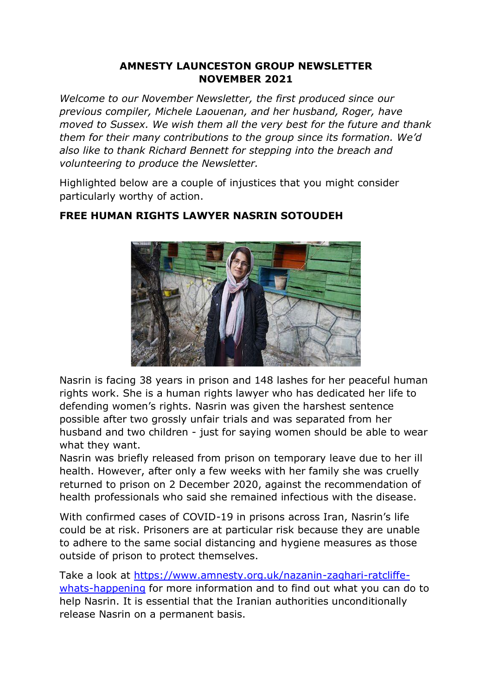## **AMNESTY LAUNCESTON GROUP NEWSLETTER NOVEMBER 2021**

*Welcome to our November Newsletter, the first produced since our previous compiler, Michele Laouenan, and her husband, Roger, have moved to Sussex. We wish them all the very best for the future and thank them for their many contributions to the group since its formation. We'd also like to thank Richard Bennett for stepping into the breach and volunteering to produce the Newsletter.*

Highlighted below are a couple of injustices that you might consider particularly worthy of action.



## **FREE HUMAN RIGHTS LAWYER NASRIN SOTOUDEH**

Nasrin is facing 38 years in prison and 148 lashes for her peaceful human rights work. She is a human rights lawyer who has dedicated her life to defending women's rights. Nasrin was given the harshest sentence possible after two grossly unfair trials and was separated from her husband and two children - just for saying women should be able to wear what they want.

Nasrin was briefly released from prison on temporary leave due to her ill health. However, after only a few weeks with her family she was cruelly returned to prison on 2 December 2020, against the recommendation of health professionals who said she remained infectious with the disease.

With confirmed cases of COVID-19 in prisons across Iran, Nasrin's life could be at risk. Prisoners are at particular risk because they are unable to adhere to the same social distancing and hygiene measures as those outside of prison to protect themselves.

Take a look at [https://www.amnesty.org.uk/nazanin-zaghari-ratcliffe](https://www.amnesty.org.uk/nazanin-zaghari-ratcliffe-whats-happening)[whats-happening](https://www.amnesty.org.uk/nazanin-zaghari-ratcliffe-whats-happening) for more information and to find out what you can do to help Nasrin. It is essential that the Iranian authorities unconditionally release Nasrin on a permanent basis.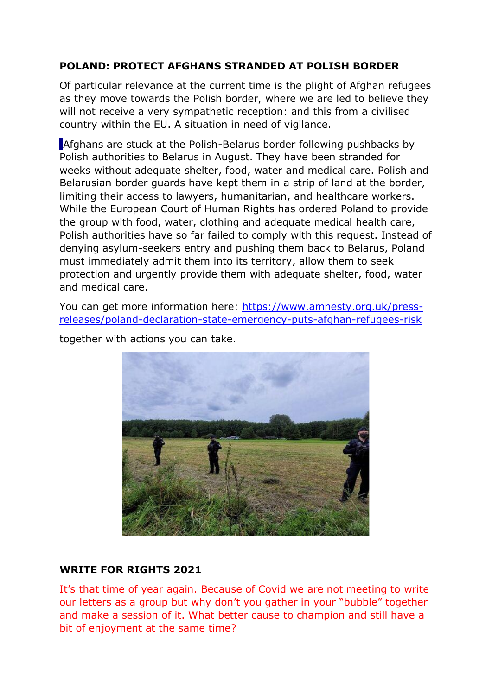# **POLAND: PROTECT AFGHANS STRANDED AT POLISH BORDER**

Of particular relevance at the current time is the plight of Afghan refugees as they move towards the Polish border, where we are led to believe they will not receive a very sympathetic reception: and this from a civilised country within the EU. A situation in need of vigilance.

Afghans are stuck at the Polish-Belarus border following pushbacks by Polish authorities to Belarus in August. They have been stranded for weeks without adequate shelter, food, water and medical care. Polish and Belarusian border guards have kept them in a strip of land at the border, limiting their access to lawyers, humanitarian, and healthcare workers. While the European Court of Human Rights has ordered Poland to provide the group with food, water, clothing and adequate medical health care, Polish authorities have so far failed to comply with this request. Instead of denying asylum-seekers entry and pushing them back to Belarus, Poland must immediately admit them into its territory, allow them to seek protection and urgently provide them with adequate shelter, food, water and medical care.

You can get more information here: [https://www.amnesty.org.uk/press](https://www.amnesty.org.uk/press-releases/poland-declaration-state-emergency-puts-afghan-refugees-risk)[releases/poland-declaration-state-emergency-puts-afghan-refugees-risk](https://www.amnesty.org.uk/press-releases/poland-declaration-state-emergency-puts-afghan-refugees-risk)



together with actions you can take.

#### **WRITE FOR RIGHTS 2021**

It's that time of year again. Because of Covid we are not meeting to write our letters as a group but why don't you gather in your "bubble" together and make a session of it. What better cause to champion and still have a bit of enjoyment at the same time?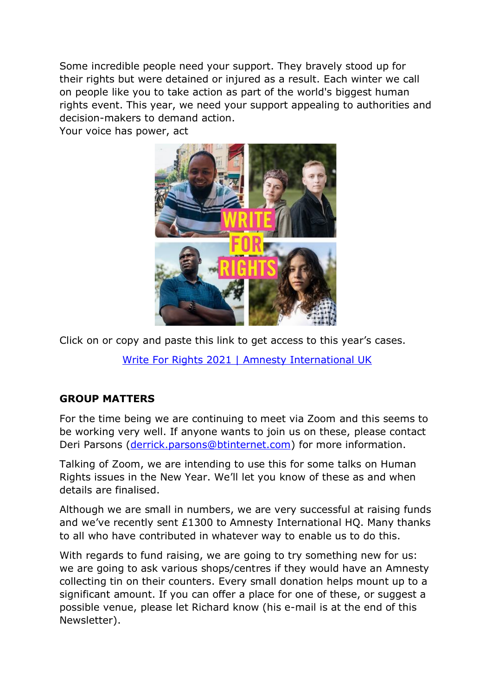Some incredible people need your support. They bravely stood up for their rights but were detained or injured as a result. Each winter we call on people like you to take action as part of the world's biggest human rights event. This year, we need your support appealing to authorities and decision-makers to demand action.

Your voice has power, act



Click on or copy and paste this link to get access to this year's cases.

[Write For Rights 2021 | Amnesty International UK](https://www.amnesty.org.uk/write-for-rights)

# **GROUP MATTERS**

For the time being we are continuing to meet via Zoom and this seems to be working very well. If anyone wants to join us on these, please contact Deri Parsons [\(derrick.parsons@btinternet.com\)](mailto:derrick.parsons@btinternet.com) for more information.

Talking of Zoom, we are intending to use this for some talks on Human Rights issues in the New Year. We'll let you know of these as and when details are finalised.

Although we are small in numbers, we are very successful at raising funds and we've recently sent £1300 to Amnesty International HQ. Many thanks to all who have contributed in whatever way to enable us to do this.

With regards to fund raising, we are going to try something new for us: we are going to ask various shops/centres if they would have an Amnesty collecting tin on their counters. Every small donation helps mount up to a significant amount. If you can offer a place for one of these, or suggest a possible venue, please let Richard know (his e-mail is at the end of this Newsletter).